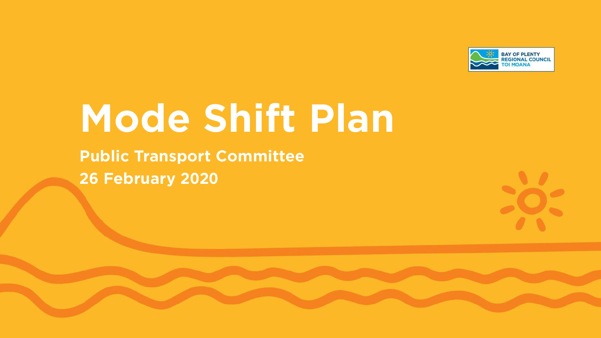

# **Mode Shift Plan**

**Public Transport Committee 26 February 2020**

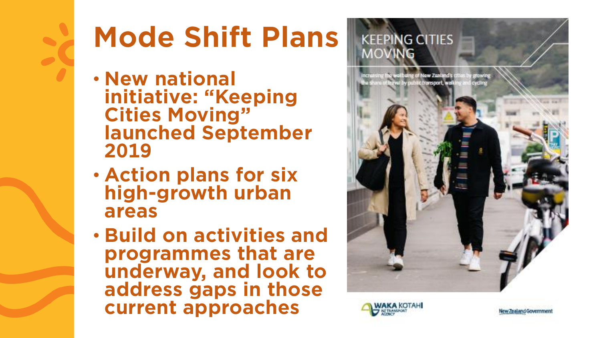

## **Mode Shift Plans**

- **New national initiative: "Keeping Cities Moving" launched September 2019**
- **Action plans for six high-growth urban areas**
- **Build on activities and programmes that are underway, and look to address gaps in those current approaches**





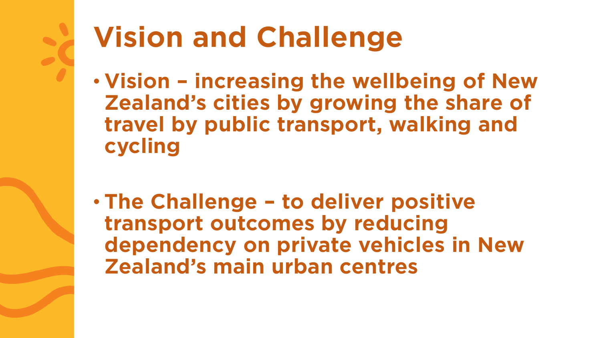

### **Vision and Challenge**

- **Vision – increasing the wellbeing of New Zealand's cities by growing the share of travel by public transport, walking and cycling**
- **The Challenge – to deliver positive transport outcomes by reducing dependency on private vehicles in New Zealand's main urban centres**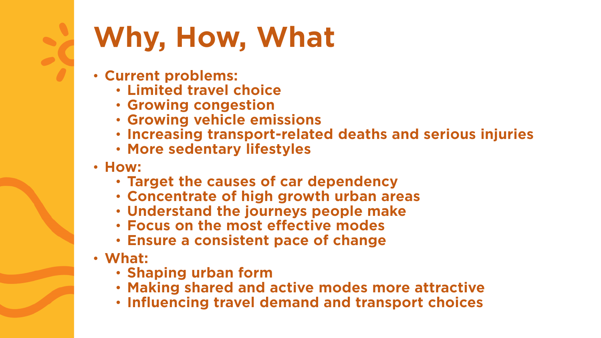### **Why, How, What**

- **Current problems:**
	- **Limited travel choice**
	- **Growing congestion**
	- **Growing vehicle emissions**
	- **Increasing transport-related deaths and serious injuries**
	- **More sedentary lifestyles**
- **How:**
	- **Target the causes of car dependency**
	- **Concentrate of high growth urban areas**
	- **Understand the journeys people make**
	- **Focus on the most effective modes**
	- **Ensure a consistent pace of change**
- **What:**
	- **Shaping urban form**
	- **Making shared and active modes more attractive**
	- **Influencing travel demand and transport choices**